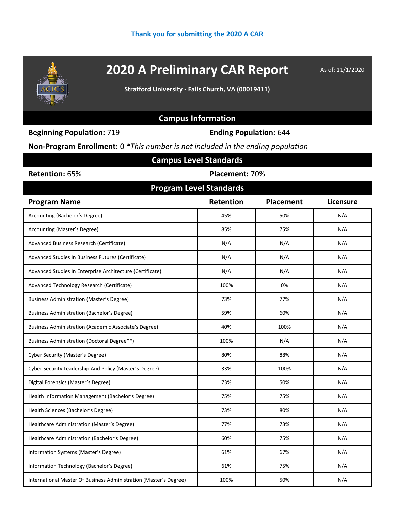

# **2020 A Preliminary CAR Report** As of: 11/1/2020

**Stratford University - Falls Church, VA (00019411)**

## **Campus Information**

**Beginning Population:** 719 **Ending Population:** 644

**Non-Program Enrollment:** 0 *\*This number is not included in the ending population*

| <b>Campus Level Standards</b>                                     |                                |                  |           |  |  |  |  |
|-------------------------------------------------------------------|--------------------------------|------------------|-----------|--|--|--|--|
| Retention: 65%                                                    | Placement: 70%                 |                  |           |  |  |  |  |
|                                                                   | <b>Program Level Standards</b> |                  |           |  |  |  |  |
| <b>Program Name</b>                                               | Retention                      | <b>Placement</b> | Licensure |  |  |  |  |
| Accounting (Bachelor's Degree)                                    | 45%                            | 50%              | N/A       |  |  |  |  |
| Accounting (Master's Degree)                                      | 85%                            | 75%              | N/A       |  |  |  |  |
| Advanced Business Research (Certificate)                          | N/A                            | N/A              | N/A       |  |  |  |  |
| Advanced Studies In Business Futures (Certificate)                | N/A                            | N/A              | N/A       |  |  |  |  |
| Advanced Studies In Enterprise Architecture (Certificate)         | N/A                            | N/A              | N/A       |  |  |  |  |
| Advanced Technology Research (Certificate)                        | 100%                           | 0%               | N/A       |  |  |  |  |
| <b>Business Administration (Master's Degree)</b>                  | 73%                            | 77%              | N/A       |  |  |  |  |
| <b>Business Administration (Bachelor's Degree)</b>                | 59%                            | 60%              | N/A       |  |  |  |  |
| Business Administration (Academic Associate's Degree)             | 40%                            | 100%             | N/A       |  |  |  |  |
| Business Administration (Doctoral Degree**)                       | 100%                           | N/A              | N/A       |  |  |  |  |
| <b>Cyber Security (Master's Degree)</b>                           | 80%                            | 88%              | N/A       |  |  |  |  |
| Cyber Security Leadership And Policy (Master's Degree)            | 33%                            | 100%             | N/A       |  |  |  |  |
| Digital Forensics (Master's Degree)                               | 73%                            | 50%              | N/A       |  |  |  |  |
| Health Information Management (Bachelor's Degree)                 | 75%                            | 75%              | N/A       |  |  |  |  |
| Health Sciences (Bachelor's Degree)                               | 73%                            | 80%              | N/A       |  |  |  |  |
| Healthcare Administration (Master's Degree)                       | 77%                            | 73%              | N/A       |  |  |  |  |
| Healthcare Administration (Bachelor's Degree)                     | 60%                            | 75%              | N/A       |  |  |  |  |
| Information Systems (Master's Degree)                             | 61%                            | 67%              | N/A       |  |  |  |  |
| Information Technology (Bachelor's Degree)                        | 61%                            | 75%              | N/A       |  |  |  |  |
| International Master Of Business Administration (Master's Degree) | 100%                           | 50%              | N/A       |  |  |  |  |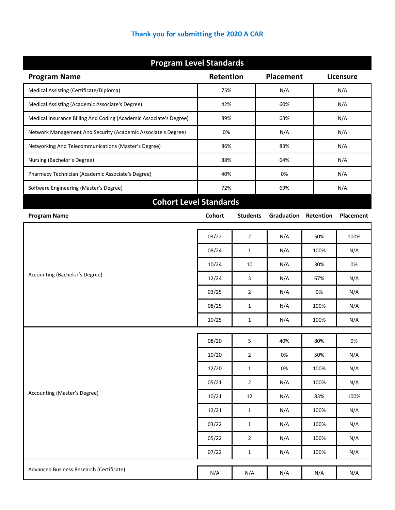|  | Thank you for submitting the 2020 A CAR |  |  |
|--|-----------------------------------------|--|--|
|--|-----------------------------------------|--|--|

| <b>Program Level Standards</b>                                     |                  |                 |                  |           |           |  |  |
|--------------------------------------------------------------------|------------------|-----------------|------------------|-----------|-----------|--|--|
| <b>Program Name</b>                                                | <b>Retention</b> |                 | <b>Placement</b> |           | Licensure |  |  |
| Medical Assisting (Certificate/Diploma)                            | 75%              |                 | N/A              |           | N/A       |  |  |
| Medical Assisting (Academic Associate's Degree)                    | 42%              |                 | 60%              | N/A       |           |  |  |
| Medical Insurance Billing And Coding (Academic Associate's Degree) | 89%              |                 | 63%              |           | N/A       |  |  |
| Network Management And Security (Academic Associate's Degree)      | 0%               |                 | N/A              |           | N/A       |  |  |
| Networking And Telecommunications (Master's Degree)                | 86%              |                 | 83%              |           | N/A       |  |  |
| Nursing (Bachelor's Degree)                                        | 88%              |                 | 64%              |           | N/A       |  |  |
| Pharmacy Technician (Academic Associate's Degree)                  | 40%              |                 | 0%               |           | N/A       |  |  |
| Software Engineering (Master's Degree)                             | 72%              |                 | 69%              |           | N/A       |  |  |
| <b>Cohort Level Standards</b>                                      |                  |                 |                  |           |           |  |  |
| <b>Program Name</b>                                                | <b>Cohort</b>    | <b>Students</b> | Graduation       | Retention | Placement |  |  |
|                                                                    | 03/22            | $\overline{2}$  | N/A              | 50%       | 100%      |  |  |
|                                                                    | 08/24            | 1               | N/A              | 100%      | N/A       |  |  |
| Accounting (Bachelor's Degree)                                     | 10/24            | 10              | N/A              | 30%       | 0%        |  |  |
|                                                                    | 12/24            | 3               | N/A              | 67%       | N/A       |  |  |
|                                                                    | 03/25            | $\overline{2}$  | N/A              | 0%        | N/A       |  |  |
|                                                                    | 08/25            | $\mathbf{1}$    | N/A              | 100%      | N/A       |  |  |
|                                                                    |                  |                 |                  |           |           |  |  |
|                                                                    | 10/25            | 1               | N/A              | 100%      | N/A       |  |  |
|                                                                    | 08/20            | 5               | 40%              | 80%       | 0%        |  |  |
|                                                                    | 10/20            | $\overline{2}$  | 0%               | 50%       | N/A       |  |  |
|                                                                    | 12/20            | $\mathbf 1$     | 0%               | 100%      | N/A       |  |  |
|                                                                    | 05/21            | $\mathbf 2$     | N/A              | 100%      | N/A       |  |  |
| Accounting (Master's Degree)                                       | 10/21            | 12              | N/A              | 83%       | 100%      |  |  |
|                                                                    | 12/21            | $\mathbf 1$     | N/A              | 100%      | N/A       |  |  |
|                                                                    | 03/22            | $\mathbf 1$     | N/A              | 100%      | N/A       |  |  |
|                                                                    | 05/22            | $\overline{2}$  | N/A              | 100%      | N/A       |  |  |
|                                                                    | 07/22            | $\mathbf{1}$    | N/A              | 100%      | N/A       |  |  |
| Advanced Business Research (Certificate)                           | N/A              | N/A             | N/A              | N/A       | N/A       |  |  |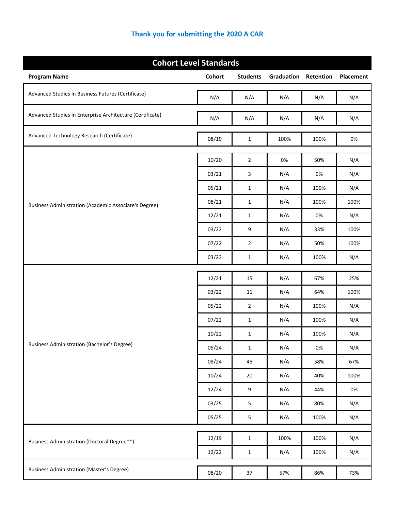| <b>Cohort Level Standards</b>                                |               |                 |            |           |           |  |
|--------------------------------------------------------------|---------------|-----------------|------------|-----------|-----------|--|
| <b>Program Name</b>                                          | <b>Cohort</b> | <b>Students</b> | Graduation | Retention | Placement |  |
| Advanced Studies In Business Futures (Certificate)           | N/A           | N/A             | N/A        | N/A       | N/A       |  |
| Advanced Studies In Enterprise Architecture (Certificate)    | N/A           | N/A             | N/A        | N/A       | N/A       |  |
| Advanced Technology Research (Certificate)                   | 08/19         | $\mathbf{1}$    | 100%       | 100%      | 0%        |  |
|                                                              | 10/20         | $\overline{2}$  | 0%         | 50%       | N/A       |  |
|                                                              | 03/21         | 3               | N/A        | 0%        | N/A       |  |
| <b>Business Administration (Academic Associate's Degree)</b> | 05/21         | 1               | N/A        | 100%      | N/A       |  |
|                                                              | 08/21         | 1               | N/A        | 100%      | 100%      |  |
|                                                              | 12/21         | 1               | N/A        | 0%        | N/A       |  |
|                                                              | 03/22         | 9               | N/A        | 33%       | 100%      |  |
|                                                              | 07/22         | 2               | N/A        | 50%       | 100%      |  |
|                                                              | 03/23         | 1               | N/A        | 100%      | N/A       |  |
|                                                              | 12/21         | 15              | N/A        | 67%       | 25%       |  |
|                                                              | 03/22         | 11              | N/A        | 64%       | 100%      |  |
|                                                              | 05/22         | $\overline{2}$  | N/A        | 100%      | N/A       |  |
|                                                              | 07/22         | 1               | N/A        | 100%      | N/A       |  |
|                                                              | 10/22         | $\mathbf{1}$    | N/A        | 100%      | N/A       |  |
| Business Administration (Bachelor's Degree)                  | 05/24         | $\mathbf{1}$    | N/A        | 0%        | N/A       |  |
|                                                              | 08/24         | 45              | N/A        | 58%       | 67%       |  |
|                                                              | 10/24         | 20              | N/A        | 40%       | 100%      |  |
|                                                              | 12/24         | 9               | N/A        | 44%       | 0%        |  |
|                                                              | 03/25         | 5               | N/A        | 80%       | N/A       |  |
|                                                              | 05/25         | 5               | N/A        | 100%      | N/A       |  |
| <b>Business Administration (Doctoral Degree**)</b>           | 12/19         | $\mathbf{1}$    | 100%       | 100%      | N/A       |  |
|                                                              | 12/22         | $\mathbf{1}$    | N/A        | 100%      | N/A       |  |
| <b>Business Administration (Master's Degree)</b>             | 08/20         | 37              | 57%        | 86%       | 73%       |  |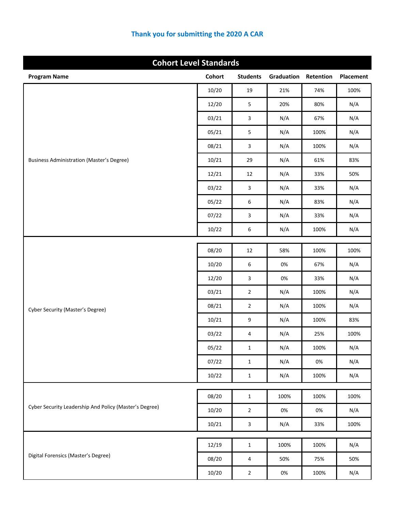| <b>Cohort Level Standards</b>                          |               |                 |            |           |           |
|--------------------------------------------------------|---------------|-----------------|------------|-----------|-----------|
| <b>Program Name</b>                                    | <b>Cohort</b> | <b>Students</b> | Graduation | Retention | Placement |
|                                                        | 10/20         | 19              | 21%        | 74%       | 100%      |
|                                                        | 12/20         | $\mathsf S$     | 20%        | 80%       | N/A       |
|                                                        | 03/21         | 3               | N/A        | 67%       | N/A       |
|                                                        | 05/21         | 5               | N/A        | 100%      | N/A       |
|                                                        | 08/21         | 3               | N/A        | 100%      | N/A       |
| <b>Business Administration (Master's Degree)</b>       | 10/21         | 29              | N/A        | 61%       | 83%       |
|                                                        | 12/21         | 12              | N/A        | 33%       | 50%       |
|                                                        | 03/22         | 3               | N/A        | 33%       | N/A       |
|                                                        | 05/22         | 6               | N/A        | 83%       | N/A       |
|                                                        | 07/22         | 3               | N/A        | 33%       | N/A       |
|                                                        | 10/22         | 6               | N/A        | 100%      | N/A       |
|                                                        |               |                 |            |           |           |
|                                                        | 08/20         | 12              | 58%        | 100%      | 100%      |
|                                                        | 10/20         | 6               | 0%         | 67%       | N/A       |
|                                                        | 12/20         | 3               | 0%         | 33%       | N/A       |
|                                                        | 03/21         | $\overline{2}$  | N/A        | 100%      | N/A       |
| <b>Cyber Security (Master's Degree)</b>                | 08/21         | $\overline{2}$  | N/A        | 100%      | N/A       |
|                                                        | 10/21         | 9               | N/A        | 100%      | 83%       |
|                                                        | 03/22         | 4               | N/A        | 25%       | 100%      |
|                                                        | 05/22         | $\mathbf 1$     | N/A        | 100%      | N/A       |
|                                                        | 07/22         | $\mathbf{1}$    | N/A        | $0\%$     | N/A       |
|                                                        | 10/22         | $\mathbf 1$     | N/A        | 100%      | N/A       |
|                                                        | 08/20         | $\mathbf{1}$    | 100%       | 100%      | 100%      |
| Cyber Security Leadership And Policy (Master's Degree) | 10/20         | $\overline{2}$  | 0%         | $0\%$     | N/A       |
|                                                        | 10/21         | $\mathbf{3}$    | N/A        | 33%       | 100%      |
|                                                        |               |                 |            |           |           |
| Digital Forensics (Master's Degree)                    | 12/19         | $\mathbf{1}$    | 100%       | 100%      | N/A       |
|                                                        | 08/20         | $\overline{4}$  | 50%        | 75%       | 50%       |
|                                                        | 10/20         | $\mathbf{2}$    | 0%         | 100%      | N/A       |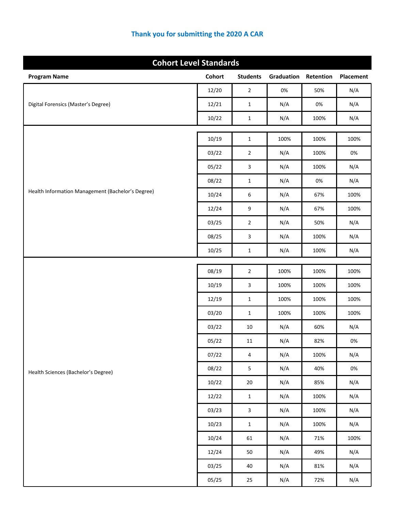|                                                   | <b>Cohort Level Standards</b> |                 |            |           |           |  |  |
|---------------------------------------------------|-------------------------------|-----------------|------------|-----------|-----------|--|--|
| <b>Program Name</b>                               | <b>Cohort</b>                 | <b>Students</b> | Graduation | Retention | Placement |  |  |
|                                                   | 12/20                         | $\overline{2}$  | 0%         | 50%       | N/A       |  |  |
| Digital Forensics (Master's Degree)               | 12/21                         | $\mathbf 1$     | N/A        | 0%        | N/A       |  |  |
|                                                   | 10/22                         | $\mathbf{1}$    | N/A        | 100%      | N/A       |  |  |
|                                                   |                               |                 | 100%       | 100%      | 100%      |  |  |
|                                                   | 10/19                         | $\mathbf{1}$    |            |           |           |  |  |
|                                                   | 03/22                         | $\mathbf 2$     | N/A        | 100%      | 0%        |  |  |
|                                                   | 05/22                         | $\mathsf 3$     | N/A        | 100%      | N/A       |  |  |
| Health Information Management (Bachelor's Degree) | 08/22                         | $\mathbf{1}$    | N/A        | $0\%$     | N/A       |  |  |
|                                                   | 10/24                         | 6               | N/A        | 67%       | 100%      |  |  |
|                                                   | 12/24                         | 9               | N/A        | 67%       | 100%      |  |  |
|                                                   | 03/25                         | $\mathbf 2$     | N/A        | 50%       | N/A       |  |  |
|                                                   | 08/25                         | $\mathsf 3$     | N/A        | 100%      | N/A       |  |  |
|                                                   | 10/25                         | $\mathbf{1}$    | N/A        | 100%      | N/A       |  |  |
|                                                   | 08/19                         | $\overline{2}$  | 100%       | 100%      | 100%      |  |  |
|                                                   | 10/19                         | 3               | 100%       | 100%      | 100%      |  |  |
|                                                   | 12/19                         | $\mathbf{1}$    | 100%       | 100%      | 100%      |  |  |
|                                                   | 03/20                         | $\mathbf 1$     | 100%       | 100%      | 100%      |  |  |
|                                                   | 03/22                         | $10\,$          | N/A        | 60%       | N/A       |  |  |
|                                                   | 05/22                         | $11\,$          | N/A        | 82%       | $0\%$     |  |  |
|                                                   | 07/22                         | 4               | N/A        | 100%      | N/A       |  |  |
| Health Sciences (Bachelor's Degree)               | 08/22                         | 5               | N/A        | 40%       | $0\%$     |  |  |
|                                                   | 10/22                         | $20\,$          | N/A        | 85%       | N/A       |  |  |
|                                                   | 12/22                         | $\mathbf 1$     | N/A        | 100%      | N/A       |  |  |
|                                                   | 03/23                         | $\mathbf{3}$    | N/A        | 100%      | N/A       |  |  |
|                                                   | 10/23                         | $\mathbf 1$     | N/A        | 100%      | N/A       |  |  |
|                                                   | 10/24                         | 61              | N/A        | 71%       | 100%      |  |  |
|                                                   | 12/24                         | 50              | N/A        | 49%       | N/A       |  |  |
|                                                   | 03/25                         | 40              | N/A        | 81%       | N/A       |  |  |
|                                                   | 05/25                         | 25              | N/A        | 72%       | N/A       |  |  |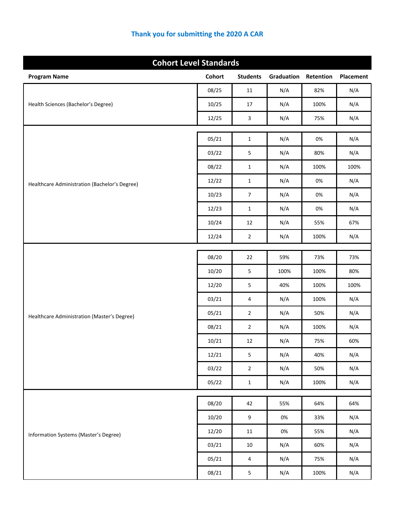| <b>Cohort Level Standards</b>                 |               |                         |            |           |           |
|-----------------------------------------------|---------------|-------------------------|------------|-----------|-----------|
| <b>Program Name</b>                           | <b>Cohort</b> | <b>Students</b>         | Graduation | Retention | Placement |
|                                               | 08/25         | 11                      | N/A        | 82%       | N/A       |
| Health Sciences (Bachelor's Degree)           | 10/25         | $17\,$                  | N/A        | 100%      | N/A       |
|                                               | 12/25         | 3                       | N/A        | 75%       | N/A       |
|                                               | 05/21         |                         |            | 0%        |           |
|                                               |               | $\mathbf{1}$            | N/A        |           | N/A       |
|                                               | 03/22         | $\mathsf S$             | N/A        | 80%       | N/A       |
|                                               | 08/22         | $\mathbf{1}$            | N/A        | 100%      | 100%      |
| Healthcare Administration (Bachelor's Degree) | 12/22         | $\mathbf{1}$            | N/A        | 0%        | N/A       |
|                                               | 10/23         | $\boldsymbol{7}$        | N/A        | 0%        | N/A       |
|                                               | 12/23         | $\mathbf{1}$            | N/A        | 0%        | N/A       |
|                                               | 10/24         | 12                      | N/A        | 55%       | 67%       |
|                                               | 12/24         | $\overline{2}$          | N/A        | 100%      | N/A       |
|                                               | 08/20         | 22                      | 59%        | 73%       | 73%       |
|                                               | 10/20         | 5                       | 100%       | 100%      | 80%       |
|                                               | 12/20         | $\mathsf S$             | 40%        | 100%      | 100%      |
|                                               | 03/21         | 4                       | N/A        | 100%      | N/A       |
| Healthcare Administration (Master's Degree)   | 05/21         | $\overline{2}$          | N/A        | 50%       | N/A       |
|                                               | 08/21         | $\overline{2}$          | N/A        | 100%      | N/A       |
|                                               | 10/21         | 12                      | N/A        | 75%       | 60%       |
|                                               | 12/21         | 5                       | N/A        | 40%       | N/A       |
|                                               | 03/22         | $\overline{2}$          | N/A        | 50%       | N/A       |
|                                               | 05/22         | $\mathbf 1$             | N/A        | 100%      | N/A       |
|                                               |               |                         |            |           |           |
|                                               | 08/20         | 42                      | 55%        | 64%       | 64%       |
|                                               | 10/20         | $\boldsymbol{9}$        | $0\%$      | 33%       | N/A       |
| Information Systems (Master's Degree)         | 12/20         | $11\,$                  | $0\%$      | 55%       | N/A       |
|                                               | 03/21         | $10\,$                  | N/A        | 60%       | N/A       |
|                                               | 05/21         | $\overline{4}$          | N/A        | 75%       | N/A       |
|                                               | 08/21         | $\overline{\mathbf{5}}$ | N/A        | 100%      | N/A       |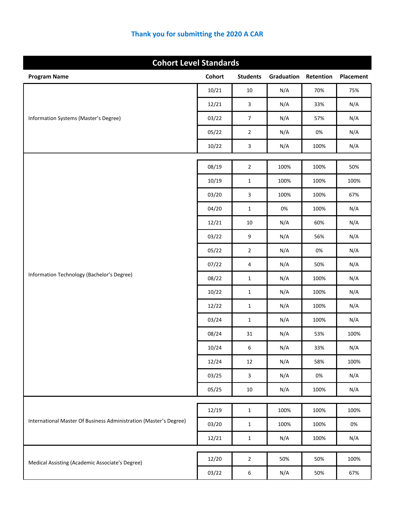| <b>Cohort Level Standards</b>                                     |               |                  |            |           |           |
|-------------------------------------------------------------------|---------------|------------------|------------|-----------|-----------|
| <b>Program Name</b>                                               | <b>Cohort</b> | <b>Students</b>  | Graduation | Retention | Placement |
|                                                                   | 10/21         | 10               | N/A        | 70%       | 75%       |
|                                                                   | 12/21         | $\overline{3}$   | N/A        | 33%       | N/A       |
| Information Systems (Master's Degree)                             | 03/22         | $\boldsymbol{7}$ | N/A        | 57%       | N/A       |
|                                                                   | 05/22         | $\overline{2}$   | N/A        | 0%        | N/A       |
|                                                                   | 10/22         | $\mathbf{3}$     | N/A        | 100%      | N/A       |
|                                                                   |               |                  |            |           |           |
|                                                                   | 08/19         | $\overline{2}$   | 100%       | 100%      | 50%       |
|                                                                   | 10/19         | $\mathbf{1}$     | 100%       | 100%      | 100%      |
|                                                                   | 03/20         | $\overline{3}$   | 100%       | 100%      | 67%       |
|                                                                   | 04/20         | $\mathbf{1}$     | 0%         | 100%      | N/A       |
|                                                                   | 12/21         | $10\,$           | N/A        | 60%       | N/A       |
|                                                                   | 03/22         | 9                | N/A        | 56%       | N/A       |
|                                                                   | 05/22         | $\overline{2}$   | N/A        | 0%        | N/A       |
|                                                                   | 07/22         | 4                | N/A        | 50%       | N/A       |
| Information Technology (Bachelor's Degree)                        | 08/22         | $\mathbf{1}$     | N/A        | 100%      | N/A       |
|                                                                   | 10/22         | $\mathbf{1}$     | N/A        | 100%      | N/A       |
|                                                                   | 12/22         | $\mathbf{1}$     | N/A        | 100%      | N/A       |
|                                                                   | 03/24         | $\mathbf{1}$     | N/A        | 100%      | N/A       |
|                                                                   | 08/24         | 31               | N/A        | 53%       | 100%      |
|                                                                   | 10/24         | $\,6\,$          | N/A        | 33%       | N/A       |
|                                                                   | 12/24         | 12               | N/A        | 58%       | 100%      |
|                                                                   | 03/25         | $\overline{3}$   | N/A        | 0%        | N/A       |
|                                                                   | 05/25         | $10\,$           | N/A        | 100%      | N/A       |
|                                                                   |               |                  |            |           |           |
| International Master Of Business Administration (Master's Degree) | 12/19         | $\mathbf{1}$     | 100%       | 100%      | 100%      |
|                                                                   | 03/20         | $\mathbf{1}$     | 100%       | 100%      | $0\%$     |
|                                                                   | 12/21         | $\mathbf{1}$     | N/A        | 100%      | N/A       |
| Medical Assisting (Academic Associate's Degree)                   | 12/20         | $\overline{2}$   | 50%        | 50%       | 100%      |
|                                                                   | 03/22         | $\boldsymbol{6}$ | N/A        | 50%       | 67%       |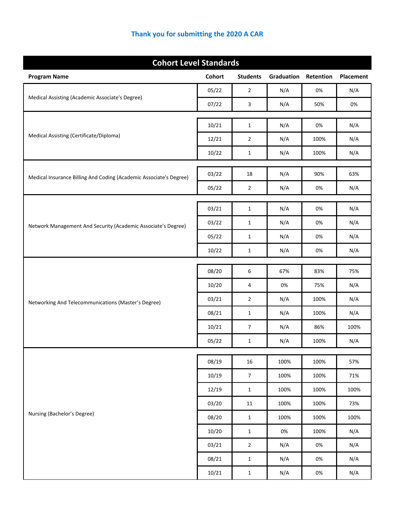| <b>Cohort Level Standards</b>                                      |               |                                |            |            |           |  |
|--------------------------------------------------------------------|---------------|--------------------------------|------------|------------|-----------|--|
| <b>Program Name</b>                                                | <b>Cohort</b> | <b>Students</b>                | Graduation | Retention  | Placement |  |
|                                                                    | 05/22         | $\overline{2}$                 | N/A        | 0%         | N/A       |  |
| Medical Assisting (Academic Associate's Degree)                    | 07/22         | 3                              | N/A        | 50%        | 0%        |  |
|                                                                    |               |                                |            |            |           |  |
| Medical Assisting (Certificate/Diploma)                            | 10/21         | $\mathbf{1}$<br>$\overline{2}$ | N/A        | 0%<br>100% | N/A       |  |
|                                                                    | 12/21         |                                | N/A        |            | N/A       |  |
|                                                                    | 10/22         | $\mathbf{1}$                   | N/A        | 100%       | N/A       |  |
| Medical Insurance Billing And Coding (Academic Associate's Degree) | 03/22         | 18                             | N/A        | 90%        | 63%       |  |
|                                                                    | 05/22         | $\overline{2}$                 | N/A        | 0%         | N/A       |  |
|                                                                    |               |                                |            |            |           |  |
|                                                                    | 03/21         | $\mathbf{1}$                   | N/A        | 0%         | N/A       |  |
| Network Management And Security (Academic Associate's Degree)      | 03/22         | $\mathbf{1}$                   | N/A        | 0%         | N/A       |  |
|                                                                    | 05/22         | $\mathbf{1}$                   | N/A        | 0%         | N/A       |  |
|                                                                    | 10/22         | $\mathbf{1}$                   | N/A        | 0%         | N/A       |  |
|                                                                    | 08/20         | 6                              | 67%        | 83%        | 75%       |  |
|                                                                    | 10/20         | 4                              | 0%         | 75%        | N/A       |  |
| Networking And Telecommunications (Master's Degree)                | 03/21         | $\overline{2}$                 | N/A        | 100%       | N/A       |  |
|                                                                    | 08/21         | $\mathbf{1}$                   | N/A        | 100%       | N/A       |  |
|                                                                    | 10/21         | $\overline{\phantom{a}}$       | N/A        | 86%        | 100%      |  |
|                                                                    | 05/22         | $\mathbf{1}$                   | N/A        | 100%       | N/A       |  |
|                                                                    | 08/19         | $16\,$                         | 100%       | 100%       | 57%       |  |
|                                                                    | 10/19         | $\overline{7}$                 | 100%       | 100%       | 71%       |  |
|                                                                    | 12/19         | $\mathbf 1$                    | 100%       | 100%       | 100%      |  |
|                                                                    | 03/20         | $11\,$                         | 100%       | 100%       | 73%       |  |
| Nursing (Bachelor's Degree)                                        | 08/20         | $\mathbf 1$                    | 100%       | 100%       | 100%      |  |
|                                                                    | 10/20         | $\mathbf{1}$                   | 0%         | 100%       | N/A       |  |
|                                                                    | 03/21         | $\overline{2}$                 | N/A        | 0%         | N/A       |  |
|                                                                    | 08/21         | $\mathbf 1$                    | N/A        | 0%         | N/A       |  |
|                                                                    | 10/21         | $\mathbf 1$                    | N/A        | 0%         | N/A       |  |